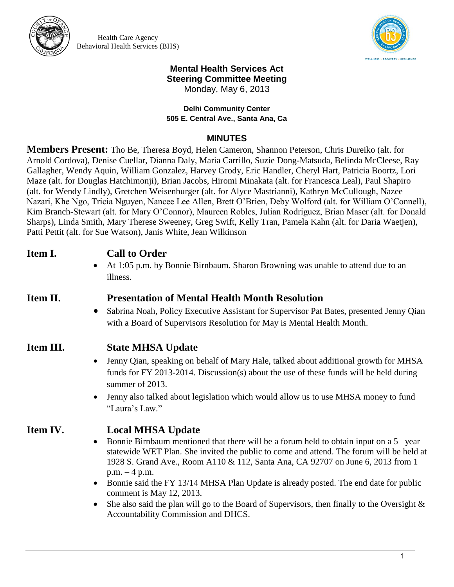

Health Care Agency Behavioral Health Services (BHS)



## **Mental Health Services Act Steering Committee Meeting**

Monday, May 6, 2013

**Delhi Community Center 505 E. Central Ave., Santa Ana, Ca**

#### **MINUTES**

**Members Present:** Tho Be, Theresa Boyd, Helen Cameron, Shannon Peterson, Chris Dureiko (alt. for Arnold Cordova), Denise Cuellar, Dianna Daly, Maria Carrillo, Suzie Dong-Matsuda, Belinda McCleese, Ray Gallagher, Wendy Aquin, William Gonzalez, Harvey Grody, Eric Handler, Cheryl Hart, Patricia Boortz, Lori Maze (alt. for Douglas Hatchimonji), Brian Jacobs, Hiromi Minakata (alt. for Francesca Leal), Paul Shapiro (alt. for Wendy Lindly), Gretchen Weisenburger (alt. for Alyce Mastrianni), Kathryn McCullough, Nazee Nazari, Khe Ngo, Tricia Nguyen, Nancee Lee Allen, Brett O'Brien, Deby Wolford (alt. for William O'Connell), Kim Branch-Stewart (alt. for Mary O'Connor), Maureen Robles, Julian Rodriguez, Brian Maser (alt. for Donald Sharps), Linda Smith, Mary Therese Sweeney, Greg Swift, Kelly Tran, Pamela Kahn (alt. for Daria Waetjen), Patti Pettit (alt. for Sue Watson), Janis White, Jean Wilkinson

## **Item I. Call to Order**

 At 1:05 p.m. by Bonnie Birnbaum. Sharon Browning was unable to attend due to an illness.

## **Item II. Presentation of Mental Health Month Resolution**

- Sabrina Noah, Policy Executive Assistant for Supervisor Pat Bates, presented Jenny Qian with a Board of Supervisors Resolution for May is Mental Health Month.
- **Item III. State MHSA Update**
	- Jenny Qian, speaking on behalf of Mary Hale, talked about additional growth for MHSA funds for FY 2013-2014. Discussion(s) about the use of these funds will be held during summer of 2013.
	- Jenny also talked about legislation which would allow us to use MHSA money to fund "Laura's Law."

## **Item IV. Local MHSA Update**

- $\bullet$  Bonnie Birnbaum mentioned that there will be a forum held to obtain input on a 5 –year statewide WET Plan. She invited the public to come and attend. The forum will be held at 1928 S. Grand Ave., Room A110 & 112, Santa Ana, CA 92707 on June 6, 2013 from 1 p.m. – 4 p.m.
- Bonnie said the FY 13/14 MHSA Plan Update is already posted. The end date for public comment is May 12, 2013.
- She also said the plan will go to the Board of Supervisors, then finally to the Oversight  $\&$ Accountability Commission and DHCS.